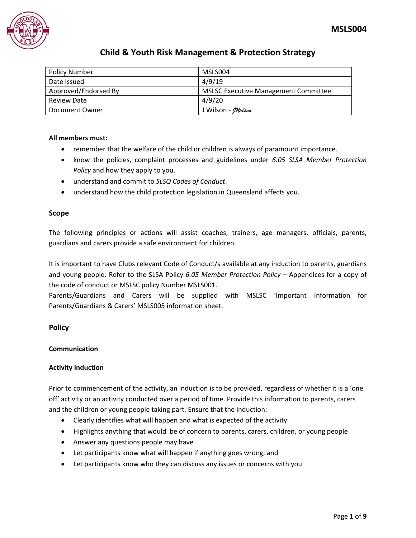

| <b>Policy Number</b> | MSLS004                                     |
|----------------------|---------------------------------------------|
| Date Issued          | 4/9/19                                      |
| Approved/Endorsed By | <b>MSLSC Executive Management Committee</b> |
| <b>Review Date</b>   | 4/9/20                                      |
| Document Owner       | J Wilson - <i>Milson</i>                    |

## **All members must:**

- remember that the welfare of the child or children is always of paramount importance.
- know the policies, complaint processes and guidelines under *6.05 SLSA Member Protection Policy* and how they apply to you.
- understand and commit to *SLSQ Codes of Conduct*.
- understand how the child protection legislation in Queensland affects you.

### **Scope**

The following principles or actions will assist coaches, trainers, age managers, officials, parents, guardians and carers provide a safe environment for children.

It is important to have Clubs relevant Code of Conduct/s available at any induction to parents, guardians and young people. Refer to the SLSA Policy *6.05 Member Protection Policy* – Appendices for a copy of the code of conduct or MSLSC policy Number MSLS001.

Parents/Guardians and Carers will be supplied with MSLSC 'Important Information for Parents/Guardians & Carers' MSLS005 information sheet.

### **Policy**

### **Communication**

### **Activity Induction**

Prior to commencement of the activity, an induction is to be provided, regardless of whether it is a 'one off' activity or an activity conducted over a period of time. Provide this information to parents, carers and the children or young people taking part. Ensure that the induction:

- Clearly identifies what will happen and what is expected of the activity
- Highlights anything that would be of concern to parents, carers, children, or young people
- Answer any questions people may have
- Let participants know what will happen if anything goes wrong, and
- Let participants know who they can discuss any issues or concerns with you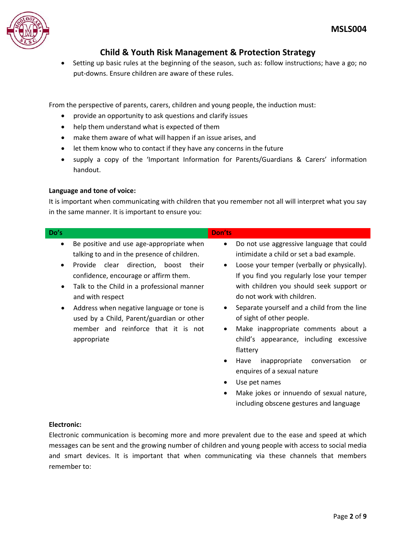

 Setting up basic rules at the beginning of the season, such as: follow instructions; have a go; no put-downs. Ensure children are aware of these rules.

From the perspective of parents, carers, children and young people, the induction must:

- provide an opportunity to ask questions and clarify issues
- help them understand what is expected of them

member and reinforce that it is not

- make them aware of what will happen if an issue arises, and
- let them know who to contact if they have any concerns in the future
- supply a copy of the 'Important Information for Parents/Guardians & Carers' information handout.

## **Language and tone of voice:**

appropriate

It is important when communicating with children that you remember not all will interpret what you say in the same manner. It is important to ensure you:

| Do's      |                                             | Don'ts    |                                             |
|-----------|---------------------------------------------|-----------|---------------------------------------------|
| $\bullet$ | Be positive and use age-appropriate when    | $\bullet$ | Do not use aggressive language that could   |
|           | talking to and in the presence of children. |           | intimidate a child or set a bad example.    |
| $\bullet$ | Provide clear direction,<br>boost<br>their  | $\bullet$ | Loose your temper (verbally or physically). |
|           | confidence, encourage or affirm them.       |           | If you find you regularly lose your temper  |
| $\bullet$ | Talk to the Child in a professional manner  |           | with children you should seek support or    |
|           | and with respect                            |           | do not work with children.                  |
| $\bullet$ | Address when negative language or tone is   |           | Separate yourself and a child from the line |
|           | used by a Child, Parent/guardian or other   |           | of sight of other people.                   |

- Make inappropriate comments about a child's appearance, including excessive flattery
- Have inappropriate conversation or enquires of a sexual nature
- Use pet names
- Make jokes or innuendo of sexual nature, including obscene gestures and language

## **Electronic:**

Electronic communication is becoming more and more prevalent due to the ease and speed at which messages can be sent and the growing number of children and young people with access to social media and smart devices. It is important that when communicating via these channels that members remember to: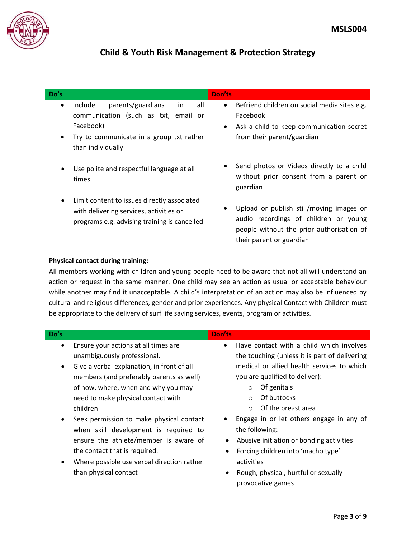

| Do's                   |                                                                                                                                                                 | <b>Don'ts</b>                                                                                                                                                |
|------------------------|-----------------------------------------------------------------------------------------------------------------------------------------------------------------|--------------------------------------------------------------------------------------------------------------------------------------------------------------|
| $\bullet$<br>$\bullet$ | parents/guardians<br>Include<br>all<br>in<br>communication (such as txt, email or<br>Facebook)<br>Try to communicate in a group txt rather<br>than individually | Befriend children on social media sites e.g.<br>$\bullet$<br>Facebook<br>Ask a child to keep communication secret<br>$\bullet$<br>from their parent/guardian |
|                        | Use polite and respectful language at all<br>times                                                                                                              | Send photos or Videos directly to a child<br>٠<br>without prior consent from a parent or<br>guardian                                                         |
|                        | Limit content to issues directly associated<br>with delivering services, activities or<br>programs e.g. advising training is cancelled                          | Upload or publish still/moving images or<br>audio recordings of children or young<br>people without the prior authorisation of<br>their parent or guardian   |

### **Physical contact during training:**

All members working with children and young people need to be aware that not all will understand an action or request in the same manner. One child may see an action as usual or acceptable behaviour while another may find it unacceptable. A child's interpretation of an action may also be influenced by cultural and religious differences, gender and prior experiences. Any physical Contact with Children must be appropriate to the delivery of surf life saving services, events, program or activities.

| Do's |                                      | <b>Don'ts</b> |
|------|--------------------------------------|---------------|
|      | Ensure your actions at all times are |               |

- Ensure your actions at all times are unambiguously professional.
- Give a verbal explanation, in front of all members (and preferably parents as well) of how, where, when and why you may need to make physical contact with children
- Seek permission to make physical contact when skill development is required to ensure the athlete/member is aware of the contact that is required.
- Where possible use verbal direction rather than physical contact
- Have contact with a child which involves the touching (unless it is part of delivering medical or allied health services to which you are qualified to deliver):
	- o Of genitals
	- o Of buttocks
	- o Of the breast area
- Engage in or let others engage in any of the following:
- Abusive initiation or bonding activities
- Forcing children into 'macho type' activities
- Rough, physical, hurtful or sexually provocative games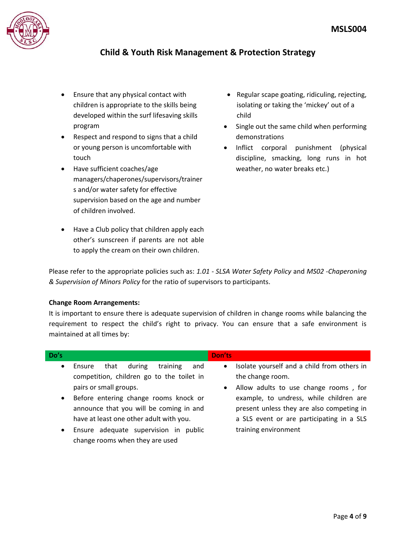

- Ensure that any physical contact with children is appropriate to the skills being developed within the surf lifesaving skills program
- Respect and respond to signs that a child or young person is uncomfortable with touch
- Have sufficient coaches/age managers/chaperones/supervisors/trainer s and/or water safety for effective supervision based on the age and number of children involved.
- Have a Club policy that children apply each other's sunscreen if parents are not able to apply the cream on their own children.
- Regular scape goating, ridiculing, rejecting, isolating or taking the 'mickey' out of a child
- Single out the same child when performing demonstrations
- Inflict corporal punishment (physical discipline, smacking, long runs in hot weather, no water breaks etc.)

Please refer to the appropriate policies such as: *1.01 - SLSA Water Safety Policy* and *MS02 -Chaperoning & Supervision of Minors Policy* for the ratio of supervisors to participants.

### **Change Room Arrangements:**

It is important to ensure there is adequate supervision of children in change rooms while balancing the requirement to respect the child's right to privacy. You can ensure that a safe environment is maintained at all times by:

| Do's      |                                             | Don'ts                                                   |  |
|-----------|---------------------------------------------|----------------------------------------------------------|--|
| $\bullet$ | during<br>training<br>that<br>and<br>Ensure | Isolate yourself and a child from others in<br>$\bullet$ |  |
|           | competition, children go to the toilet in   | the change room.                                         |  |
|           | pairs or small groups.                      | Allow adults to use change rooms, for<br>$\bullet$       |  |
|           | Before entering change rooms knock or       | example, to undress, while children are                  |  |
|           | announce that you will be coming in and     | present unless they are also competing in                |  |
|           | have at least one other adult with you.     | a SLS event or are participating in a SLS                |  |
| $\bullet$ | Ensure adequate supervision in public       | training environment                                     |  |
|           | change rooms when they are used             |                                                          |  |
|           |                                             |                                                          |  |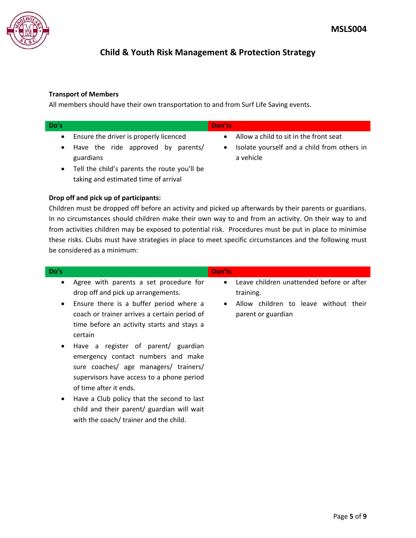

## **Transport of Members**

All members should have their own transportation to and from Surf Life Saving events.

| Do's |                                                 | Don'ts                                                   |
|------|-------------------------------------------------|----------------------------------------------------------|
|      | Ensure the driver is properly licenced          | Allow a child to sit in the front seat                   |
|      | Have the ride approved by parents/<br>guardians | Isolate yourself and a child from others in<br>a vehicle |
|      | Tell the child's parents the route you'll be    |                                                          |

## **Drop off and pick up of participants:**

taking and estimated time of arrival

child and their parent/ guardian will wait

with the coach/ trainer and the child.

Children must be dropped off before an activity and picked up afterwards by their parents or guardians. In no circumstances should children make their own way to and from an activity. On their way to and from activities children may be exposed to potential risk. Procedures must be put in place to minimise these risks. Clubs must have strategies in place to meet specific circumstances and the following must be considered as a minimum:

| Do's                                                                                                                                                                                                                                                              | Don'ts                                                                   |
|-------------------------------------------------------------------------------------------------------------------------------------------------------------------------------------------------------------------------------------------------------------------|--------------------------------------------------------------------------|
| Agree with parents a set procedure for<br>$\bullet$<br>drop off and pick up arrangements.                                                                                                                                                                         | Leave children unattended before or after<br>$\bullet$<br>training.      |
| Ensure there is a buffer period where a<br>$\bullet$<br>coach or trainer arrives a certain period of<br>time before an activity starts and stays a<br>certain                                                                                                     | Allow children to leave without their<br>$\bullet$<br>parent or guardian |
| Have a register of parent/ guardian<br>$\bullet$<br>emergency contact numbers and make<br>sure coaches/ age managers/ trainers/<br>supervisors have access to a phone period<br>of time after it ends.<br>Have a Club policy that the second to last<br>$\bullet$ |                                                                          |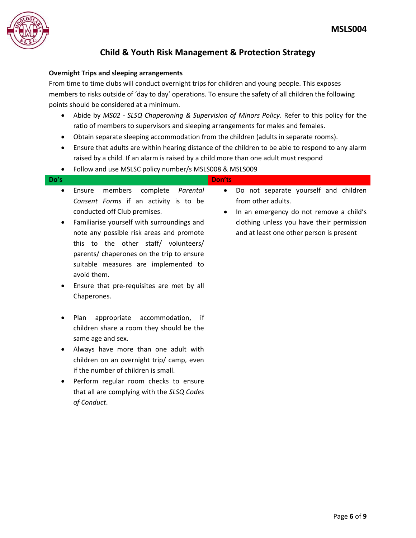

## **Overnight Trips and sleeping arrangements**

From time to time clubs will conduct overnight trips for children and young people. This exposes members to risks outside of 'day to day' operations. To ensure the safety of all children the following points should be considered at a minimum.

- Abide by *MS02 - SLSQ Chaperoning & Supervision of Minors Policy*. Refer to this policy for the ratio of members to supervisors and sleeping arrangements for males and females.
- Obtain separate sleeping accommodation from the children (adults in separate rooms).
- Ensure that adults are within hearing distance of the children to be able to respond to any alarm raised by a child. If an alarm is raised by a child more than one adult must respond
- Follow and use MSLSC policy number/s MSLS008 & MSLS009

| Do's      |                                            | Don'ts                                               |
|-----------|--------------------------------------------|------------------------------------------------------|
| $\bullet$ | members complete<br>Parental<br>Ensure     | Do not separate yourself and children<br>$\bullet$   |
|           | Consent Forms if an activity is to be      | from other adults.                                   |
|           | conducted off Club premises.               | In an emergency do not remove a child's<br>$\bullet$ |
| $\bullet$ | Familiarise yourself with surroundings and | clothing unless you have their permission            |
|           | note any possible risk areas and promote   | and at least one other person is present             |
|           | this to the other staff/ volunteers/       |                                                      |
|           | parents/ chaperones on the trip to ensure  |                                                      |
|           | suitable measures are implemented to       |                                                      |
|           | avoid them.                                |                                                      |
| $\bullet$ | Ensure that pre-requisites are met by all  |                                                      |
|           | Chaperones.                                |                                                      |

- Plan appropriate accommodation, if children share a room they should be the same age and sex.
- Always have more than one adult with children on an overnight trip/ camp, even if the number of children is small.
- Perform regular room checks to ensure that all are complying with the *SLSQ Codes of Conduct*.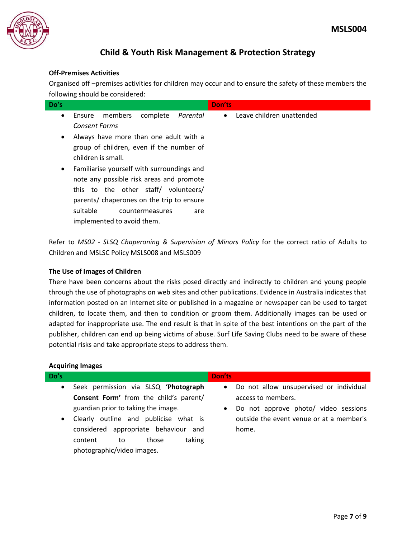

## **Off-Premises Activities**

Organised off –premises activities for children may occur and to ensure the safety of these members the following should be considered:

| Do's      | <b>Don'ts</b>                                                            |
|-----------|--------------------------------------------------------------------------|
| $\bullet$ | • Leave children unattended<br>members<br>complete<br>Parental<br>Ensure |
|           | <b>Consent Forms</b>                                                     |
| $\bullet$ | Always have more than one adult with a                                   |
|           | group of children, even if the number of<br>children is small.           |
| $\bullet$ | Familiarise yourself with surroundings and                               |
|           | note any possible risk areas and promote                                 |
|           | this to the other staff/ volunteers/                                     |
|           | parents/ chaperones on the trip to ensure                                |
|           | suitable<br>countermeasures<br>are                                       |
|           | implemented to avoid them.                                               |

Refer to *MS02 - SLSQ Chaperoning & Supervision of Minors Policy* for the correct ratio of Adults to Children and MSLSC Policy MSLS008 and MSLS009

## **The Use of Images of Children**

There have been concerns about the risks posed directly and indirectly to children and young people through the use of photographs on web sites and other publications. Evidence in Australia indicates that information posted on an Internet site or published in a magazine or newspaper can be used to target children, to locate them, and then to condition or groom them. Additionally images can be used or adapted for inappropriate use. The end result is that in spite of the best intentions on the part of the publisher, children can end up being victims of abuse. Surf Life Saving Clubs need to be aware of these potential risks and take appropriate steps to address them.

### **Acquiring Images**

| Do's                   |                                                                                                                                                                                                                                                                             | Don'ts                 |                                                                                                                                                            |
|------------------------|-----------------------------------------------------------------------------------------------------------------------------------------------------------------------------------------------------------------------------------------------------------------------------|------------------------|------------------------------------------------------------------------------------------------------------------------------------------------------------|
| $\bullet$<br>$\bullet$ | Seek permission via SLSQ 'Photograph<br>Consent Form' from the child's parent/<br>guardian prior to taking the image.<br>Clearly outline and publicise what is<br>considered appropriate behaviour<br>and<br>taking<br>those<br>content<br>to<br>photographic/video images. | $\bullet$<br>$\bullet$ | Do not allow unsupervised or individual<br>access to members.<br>Do not approve photo/ video sessions<br>outside the event venue or at a member's<br>home. |
|                        |                                                                                                                                                                                                                                                                             |                        |                                                                                                                                                            |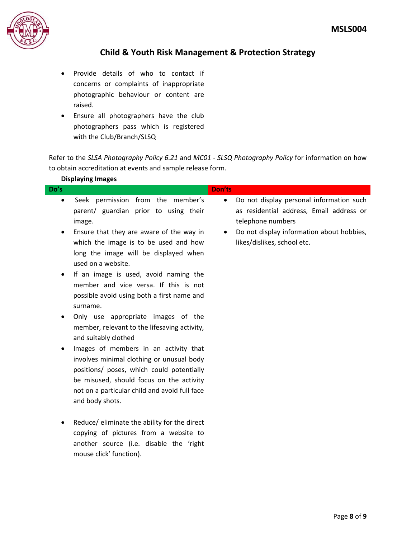

- Provide details of who to contact if concerns or complaints of inappropriate photographic behaviour or content are raised.
- Ensure all photographers have the club photographers pass which is registered with the Club/Branch/SLSQ

Refer to the *SLSA Photography Policy 6.21* and *MC01 - SLSQ Photography Policy* for information on how to obtain accreditation at events and sample release form.

|                          | <b>Displaying Images</b>                                                                                                                                                                                                                                                                                                                                                                                                                                                                                                                                                                                                                                                                                                                              |                |                                                                                                                                                                                       |
|--------------------------|-------------------------------------------------------------------------------------------------------------------------------------------------------------------------------------------------------------------------------------------------------------------------------------------------------------------------------------------------------------------------------------------------------------------------------------------------------------------------------------------------------------------------------------------------------------------------------------------------------------------------------------------------------------------------------------------------------------------------------------------------------|----------------|---------------------------------------------------------------------------------------------------------------------------------------------------------------------------------------|
| Do's                     |                                                                                                                                                                                                                                                                                                                                                                                                                                                                                                                                                                                                                                                                                                                                                       | Don'ts         |                                                                                                                                                                                       |
| $\bullet$<br>٠<br>٠<br>٠ | Seek permission from the member's<br>parent/ guardian prior to using their<br>image.<br>Ensure that they are aware of the way in<br>which the image is to be used and how<br>long the image will be displayed when<br>used on a website.<br>If an image is used, avoid naming the<br>member and vice versa. If this is not<br>possible avoid using both a first name and<br>surname.<br>Only use appropriate images of the<br>member, relevant to the lifesaving activity,<br>and suitably clothed<br>Images of members in an activity that<br>involves minimal clothing or unusual body<br>positions/ poses, which could potentially<br>be misused, should focus on the activity<br>not on a particular child and avoid full face<br>and body shots. | $\bullet$<br>٠ | Do not display personal information such<br>as residential address, Email address or<br>telephone numbers<br>Do not display information about hobbies,<br>likes/dislikes, school etc. |
| ٠                        | Reduce/ eliminate the ability for the direct<br>copying of pictures from a website to<br>another source (i.e. disable the 'right<br>mouse click' function).                                                                                                                                                                                                                                                                                                                                                                                                                                                                                                                                                                                           |                |                                                                                                                                                                                       |